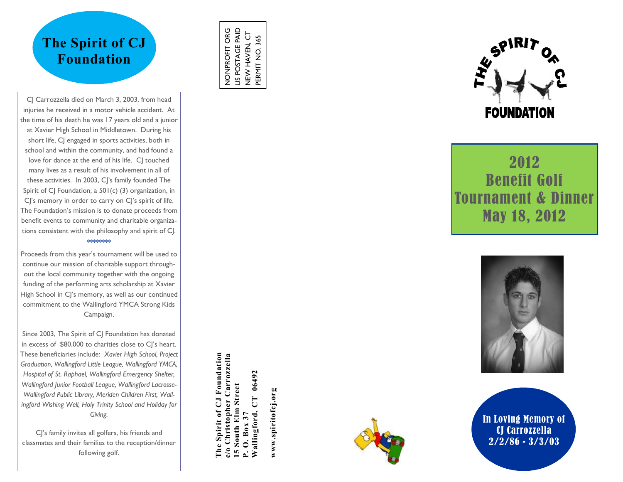# **The Spirit of CJ Foundation**

CJ Carrozzella died on March 3, 2003, from head injuries he received in a motor vehicle accident. At the time of his death he was 17 years old and a junior at Xavier High School in Middletown. During his short life, CJ engaged in sports activities, both in school and within the community, and had found a love for dance at the end of his life. CJ touched many lives as a result of his involvement in all of these activities. In 2003, CJ's family founded The Spirit of CJ Foundation, a  $501(c)$  (3) organization, in CJ's memory in order to carry on CJ's spirit of life. The Foundation's mission is to donate proceeds from benefit events to community and charitable organizations consistent with the philosophy and spirit of CJ. \*\*\*\*\*\*\*\*

Proceeds from this year's tournament will be used to continue our mission of charitable support throughout the local community together with the ongoing funding of the performing arts scholarship at Xavier High School in C|'s memory, as well as our continued commitment to the Wallingford YMCA Strong Kids Campaign.

Since 2003, The Spirit of CJ Foundation has donated in excess of \$80,000 to charities close to CJ's heart. These beneficiaries include: *Xavier High School, Project Graduation, Wallingford Little League, Wallingford YMCA, Hospital of St. Raphael, Wallingford Emergency Shelter, Wallingford Junior Football League, Wallingford Lacrosse-Wallingford Public Library, Meriden Children First, Wallingford Wishing Well, Holy Trinity School and Holiday for Giving.* 

CJ's family invites all golfers, his friends and classmates and their families to the reception/dinner following golf.

US POSTAGE PAID NONPROFIT ORG US POSTAGE PAID NEW HAVEN, CT<br>PERMIT NO. 365 NONPROFIT ORG NEW HAVEN, CT PERMIT NO. 365

**The Spirit of CJ Foundation c/o Christopher Carrozzella**

Spirit of CJ Foundation Christopher Carrozzella

**15 South Elm Street P. O. Box 37**<br>Wallingford, CT 06492 **Wallingford, CT 06492**

South Elm Street

**www.spiritofcj.org**

www.spiritofcj.org





2012 Benefit Golf Tournament & Dinner May 18, 2012



In Loving Memory of CJ Carrozzella 2/2/86 - 3/3/03